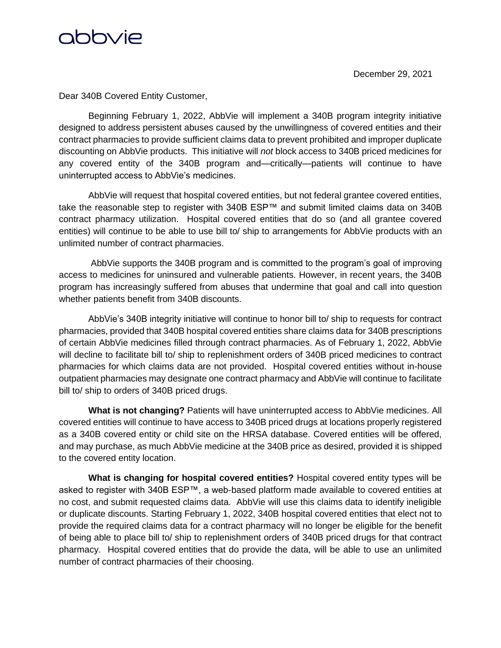

December 29, 2021

Dear 340B Covered Entity Customer,

Beginning February 1, 2022, AbbVie will implement a 340B program integrity initiative designed to address persistent abuses caused by the unwillingness of covered entities and their contract pharmacies to provide sufficient claims data to prevent prohibited and improper duplicate discounting on AbbVie products. This initiative will *not* block access to 340B priced medicines for any covered entity of the 340B program and—critically—patients will continue to have uninterrupted access to AbbVie's medicines.

AbbVie will request that hospital covered entities, but not federal grantee covered entities, take the reasonable step to register with 340B ESP™ and submit limited claims data on 340B contract pharmacy utilization. Hospital covered entities that do so (and all grantee covered entities) will continue to be able to use bill to/ ship to arrangements for AbbVie products with an unlimited number of contract pharmacies.

AbbVie supports the 340B program and is committed to the program's goal of improving access to medicines for uninsured and vulnerable patients. However, in recent years, the 340B program has increasingly suffered from abuses that undermine that goal and call into question whether patients benefit from 340B discounts.

AbbVie's 340B integrity initiative will continue to honor bill to/ ship to requests for contract pharmacies, provided that 340B hospital covered entities share claims data for 340B prescriptions of certain AbbVie medicines filled through contract pharmacies. As of February 1, 2022, AbbVie will decline to facilitate bill to/ ship to replenishment orders of 340B priced medicines to contract pharmacies for which claims data are not provided. Hospital covered entities without in-house outpatient pharmacies may designate one contract pharmacy and AbbVie will continue to facilitate bill to/ ship to orders of 340B priced drugs.

**What is not changing?** Patients will have uninterrupted access to AbbVie medicines. All covered entities will continue to have access to 340B priced drugs at locations properly registered as a 340B covered entity or child site on the HRSA database. Covered entities will be offered, and may purchase, as much AbbVie medicine at the 340B price as desired, provided it is shipped to the covered entity location.

**What is changing for hospital covered entities?** Hospital covered entity types will be asked to register with 340B ESP™, a web-based platform made available to covered entities at no cost, and submit requested claims data. AbbVie will use this claims data to identify ineligible or duplicate discounts. Starting February 1, 2022, 340B hospital covered entities that elect not to provide the required claims data for a contract pharmacy will no longer be eligible for the benefit of being able to place bill to/ ship to replenishment orders of 340B priced drugs for that contract pharmacy. Hospital covered entities that do provide the data, will be able to use an unlimited number of contract pharmacies of their choosing.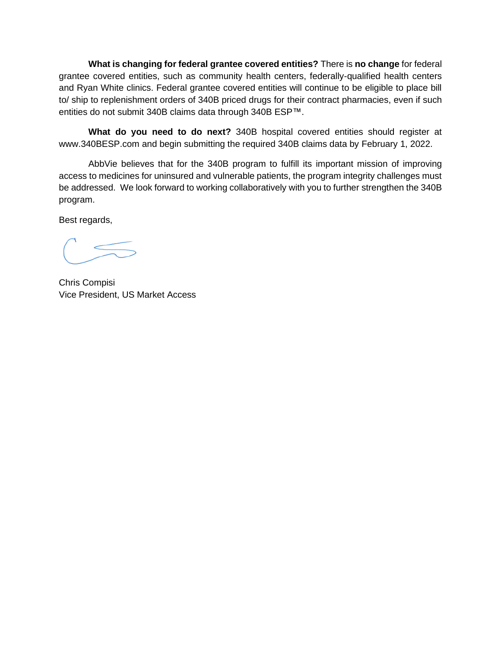**What is changing for federal grantee covered entities?** There is **no change** for federal grantee covered entities, such as community health centers, federally-qualified health centers and Ryan White clinics. Federal grantee covered entities will continue to be eligible to place bill to/ ship to replenishment orders of 340B priced drugs for their contract pharmacies, even if such entities do not submit 340B claims data through 340B ESP™.

**What do you need to do next?** 340B hospital covered entities should register at www.340BESP.com and begin submitting the required 340B claims data by February 1, 2022.

AbbVie believes that for the 340B program to fulfill its important mission of improving access to medicines for uninsured and vulnerable patients, the program integrity challenges must be addressed. We look forward to working collaboratively with you to further strengthen the 340B program.

Best regards,

Chris Compisi Vice President, US Market Access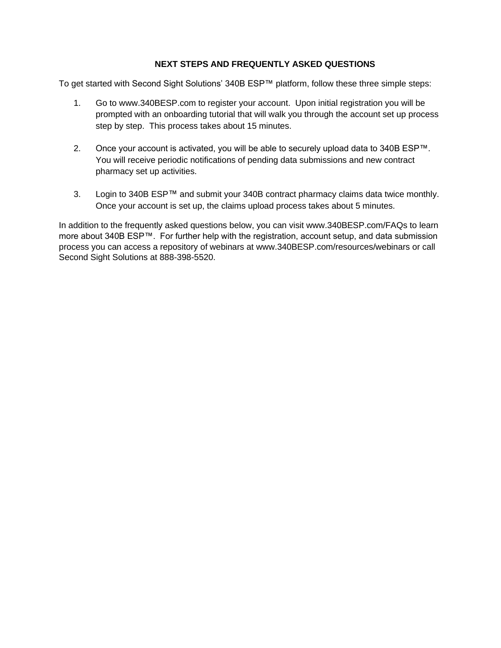#### **NEXT STEPS AND FREQUENTLY ASKED QUESTIONS**

To get started with Second Sight Solutions' 340B ESP™ platform, follow these three simple steps:

- 1. Go to www.340BESP.com to register your account. Upon initial registration you will be prompted with an onboarding tutorial that will walk you through the account set up process step by step. This process takes about 15 minutes.
- 2. Once your account is activated, you will be able to securely upload data to 340B ESP™. You will receive periodic notifications of pending data submissions and new contract pharmacy set up activities.
- 3. Login to 340B ESP™ and submit your 340B contract pharmacy claims data twice monthly. Once your account is set up, the claims upload process takes about 5 minutes.

In addition to the frequently asked questions below, you can visit www.340BESP.com/FAQs to learn more about 340B ESP™. For further help with the registration, account setup, and data submission process you can access a repository of webinars at www.340BESP.com/resources/webinars or call Second Sight Solutions at 888-398-5520.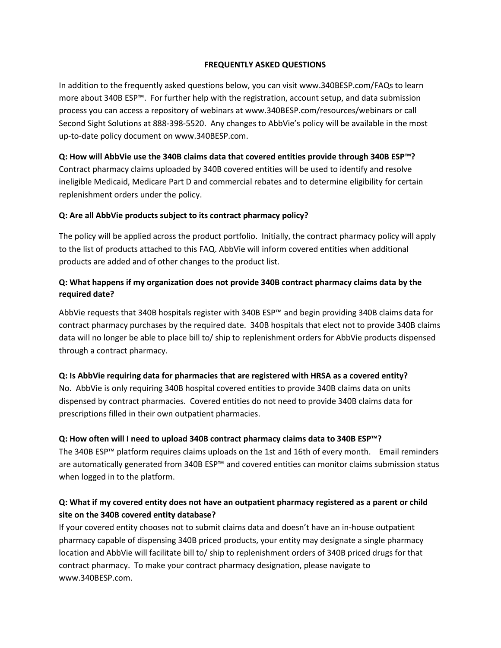#### **FREQUENTLY ASKED QUESTIONS**

In addition to the frequently asked questions below, you can visit www.340BESP.com/FAQs to learn more about 340B ESP™. For further help with the registration, account setup, and data submission process you can access a repository of webinars at www.340BESP.com/resources/webinars or call Second Sight Solutions at 888-398-5520. Any changes to AbbVie's policy will be available in the most up-to-date policy document on www.340BESP.com.

#### **Q: How will AbbVie use the 340B claims data that covered entities provide through 340B ESP™?**

Contract pharmacy claims uploaded by 340B covered entities will be used to identify and resolve ineligible Medicaid, Medicare Part D and commercial rebates and to determine eligibility for certain replenishment orders under the policy.

#### **Q: Are all AbbVie products subject to its contract pharmacy policy?**

The policy will be applied across the product portfolio. Initially, the contract pharmacy policy will apply to the list of products attached to this FAQ. AbbVie will inform covered entities when additional products are added and of other changes to the product list.

### **Q: What happens if my organization does not provide 340B contract pharmacy claims data by the required date?**

AbbVie requests that 340B hospitals register with 340B ESP™ and begin providing 340B claims data for contract pharmacy purchases by the required date. 340B hospitals that elect not to provide 340B claims data will no longer be able to place bill to/ ship to replenishment orders for AbbVie products dispensed through a contract pharmacy.

### **Q: Is AbbVie requiring data for pharmacies that are registered with HRSA as a covered entity?**

No. AbbVie is only requiring 340B hospital covered entities to provide 340B claims data on units dispensed by contract pharmacies. Covered entities do not need to provide 340B claims data for prescriptions filled in their own outpatient pharmacies.

### **Q: How often will I need to upload 340B contract pharmacy claims data to 340B ESP™?**

The 340B ESP™ platform requires claims uploads on the 1st and 16th of every month. Email reminders are automatically generated from 340B ESP™ and covered entities can monitor claims submission status when logged in to the platform.

### **Q: What if my covered entity does not have an outpatient pharmacy registered as a parent or child site on the 340B covered entity database?**

If your covered entity chooses not to submit claims data and doesn't have an in-house outpatient pharmacy capable of dispensing 340B priced products, your entity may designate a single pharmacy location and AbbVie will facilitate bill to/ ship to replenishment orders of 340B priced drugs for that contract pharmacy. To make your contract pharmacy designation, please navigate to www.340BESP.com.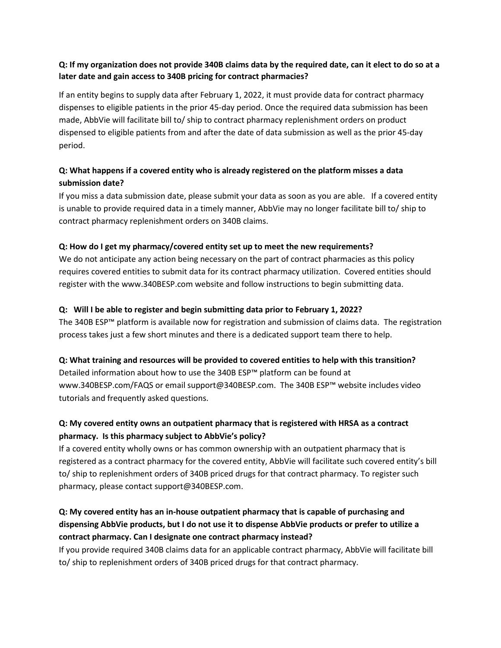### **Q: If my organization does not provide 340B claims data by the required date, can it elect to do so at a later date and gain access to 340B pricing for contract pharmacies?**

If an entity begins to supply data after February 1, 2022, it must provide data for contract pharmacy dispenses to eligible patients in the prior 45-day period. Once the required data submission has been made, AbbVie will facilitate bill to/ ship to contract pharmacy replenishment orders on product dispensed to eligible patients from and after the date of data submission as well as the prior 45-day period.

# **Q: What happens if a covered entity who is already registered on the platform misses a data submission date?**

If you miss a data submission date, please submit your data as soon as you are able. If a covered entity is unable to provide required data in a timely manner, AbbVie may no longer facilitate bill to/ ship to contract pharmacy replenishment orders on 340B claims.

### **Q: How do I get my pharmacy/covered entity set up to meet the new requirements?**

We do not anticipate any action being necessary on the part of contract pharmacies as this policy requires covered entities to submit data for its contract pharmacy utilization. Covered entities should register with the www.340BESP.com website and follow instructions to begin submitting data.

### **Q: Will I be able to register and begin submitting data prior to February 1, 2022?**

The 340B ESP™ platform is available now for registration and submission of claims data. The registration process takes just a few short minutes and there is a dedicated support team there to help.

### **Q: What training and resources will be provided to covered entities to help with this transition?**

Detailed information about how to use the 340B ESP™ platform can be found at www.340BESP.com/FAQS or email support@340BESP.com. The 340B ESP™ website includes video tutorials and frequently asked questions.

# **Q: My covered entity owns an outpatient pharmacy that is registered with HRSA as a contract pharmacy. Is this pharmacy subject to AbbVie's policy?**

If a covered entity wholly owns or has common ownership with an outpatient pharmacy that is registered as a contract pharmacy for the covered entity, AbbVie will facilitate such covered entity's bill to/ ship to replenishment orders of 340B priced drugs for that contract pharmacy. To register such pharmacy, please contact support@340BESP.com.

# **Q: My covered entity has an in-house outpatient pharmacy that is capable of purchasing and dispensing AbbVie products, but I do not use it to dispense AbbVie products or prefer to utilize a contract pharmacy. Can I designate one contract pharmacy instead?**

If you provide required 340B claims data for an applicable contract pharmacy, AbbVie will facilitate bill to/ ship to replenishment orders of 340B priced drugs for that contract pharmacy.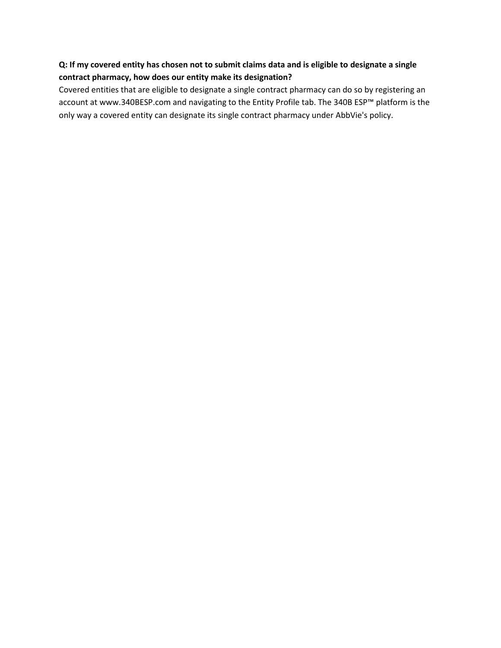# **Q: If my covered entity has chosen not to submit claims data and is eligible to designate a single contract pharmacy, how does our entity make its designation?**

Covered entities that are eligible to designate a single contract pharmacy can do so by registering an account at www.340BESP.com and navigating to the Entity Profile tab. The 340B ESP™ platform is the only way a covered entity can designate its single contract pharmacy under AbbVie's policy.